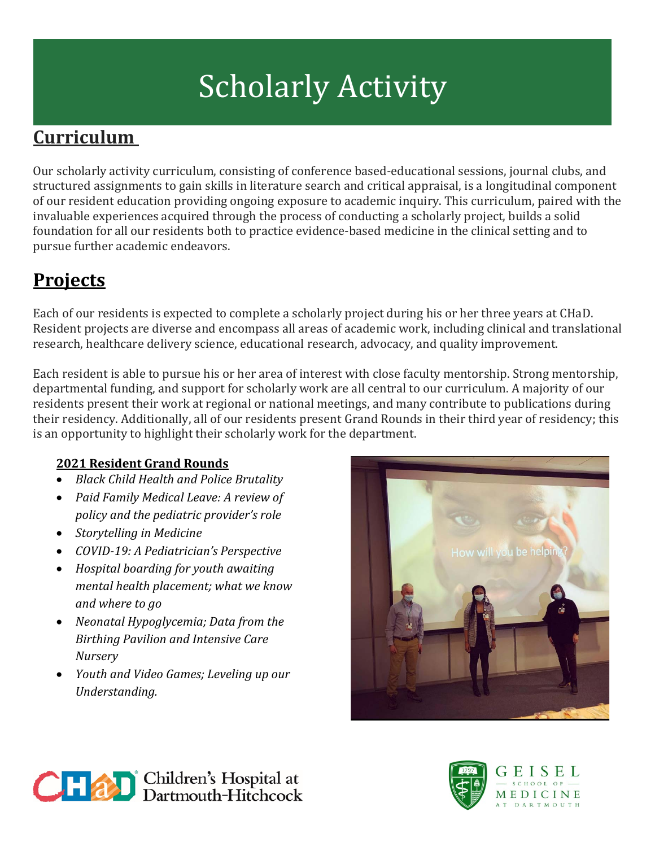# Scholarly Activity

## **Curriculum**

Our scholarly activity curriculum, consisting of conference based-educational sessions, journal clubs, and structured assignments to gain skills in literature search and critical appraisal, is a longitudinal component of our resident education providing ongoing exposure to academic inquiry. This curriculum, paired with the invaluable experiences acquired through the process of conducting a scholarly project, builds a solid foundation for all our residents both to practice evidence-based medicine in the clinical setting and to pursue further academic endeavors.

## **Projects**

Each of our residents is expected to complete a scholarly project during his or her three years at CHaD. Resident projects are diverse and encompass all areas of academic work, including clinical and translational research, healthcare delivery science, educational research, advocacy, and quality improvement.

Each resident is able to pursue his or her area of interest with close faculty mentorship. Strong mentorship, departmental funding, and support for scholarly work are all central to our curriculum. A majority of our residents present their work at regional or national meetings, and many contribute to publications during their residency. Additionally, all of our residents present Grand Rounds in their third year of residency; this is an opportunity to highlight their scholarly work for the department.

### **2021 Resident Grand Rounds**

- *Black Child Health and Police Brutality*
- *Paid Family Medical Leave: A review of policy and the pediatric provider's role*
- *Storytelling in Medicine*
- *COVID-19: A Pediatrician's Perspective*
- *Hospital boarding for youth awaiting mental health placement; what we know and where to go*
- *Neonatal Hypoglycemia; Data from the Birthing Pavilion and Intensive Care Nursery*
- *Youth and Video Games; Leveling up our Understanding.*





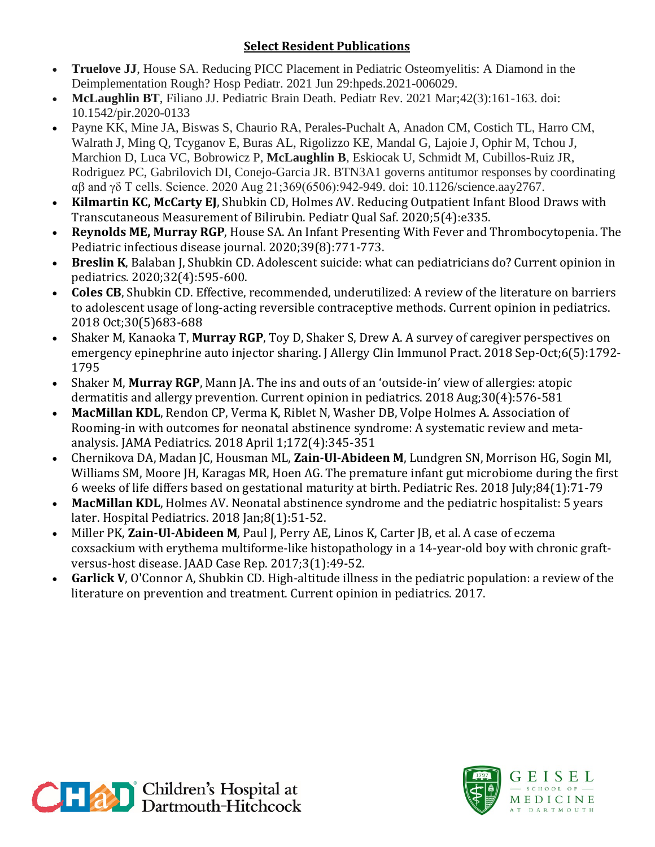#### **Select Resident Publications**

- **Truelove JJ**, House SA. Reducing PICC Placement in Pediatric Osteomyelitis: A Diamond in the Deimplementation Rough? Hosp Pediatr. 2021 Jun 29:hpeds.2021-006029.
- **McLaughlin BT**, Filiano JJ. Pediatric Brain Death. Pediatr Rev. 2021 Mar;42(3):161-163. doi: 10.1542/pir.2020-0133
- Payne KK, Mine JA, Biswas S, Chaurio RA, Perales-Puchalt A, Anadon CM, Costich TL, Harro CM, Walrath J, Ming Q, Tcyganov E, Buras AL, Rigolizzo KE, Mandal G, Lajoie J, Ophir M, Tchou J, Marchion D, Luca VC, Bobrowicz P, **McLaughlin B**, Eskiocak U, Schmidt M, Cubillos-Ruiz JR, Rodriguez PC, Gabrilovich DI, Conejo-Garcia JR. BTN3A1 governs antitumor responses by coordinating αβ and γδ T cells. Science. 2020 Aug 21;369(6506):942-949. doi: 10.1126/science.aay2767.
- **Kilmartin KC, McCarty EJ**, Shubkin CD, Holmes AV. Reducing Outpatient Infant Blood Draws with Transcutaneous Measurement of Bilirubin. Pediatr Qual Saf. 2020;5(4):e335.
- **Reynolds ME, Murray RGP**, House SA. An Infant Presenting With Fever and Thrombocytopenia. The Pediatric infectious disease journal. 2020;39(8):771-773.
- **Breslin K**, Balaban J, Shubkin CD. Adolescent suicide: what can pediatricians do? Current opinion in pediatrics. 2020;32(4):595-600.
- **Coles CB**, Shubkin CD. Effective, recommended, underutilized: A review of the literature on barriers to adolescent usage of long-acting reversible contraceptive methods. Current opinion in pediatrics. 2018 Oct;30(5)683-688
- Shaker M, Kanaoka T, **Murray RGP**, Toy D, Shaker S, Drew A. A survey of caregiver perspectives on emergency epinephrine auto injector sharing. J Allergy Clin Immunol Pract. 2018 Sep-Oct;6(5):1792- 1795
- Shaker M, **Murray RGP**, Mann JA. The ins and outs of an 'outside-in' view of allergies: atopic dermatitis and allergy prevention. Current opinion in pediatrics. 2018 Aug;30(4):576-581
- **MacMillan KDL**, Rendon CP, Verma K, Riblet N, Washer DB, Volpe Holmes A. Association of Rooming-in with outcomes for neonatal abstinence syndrome: A systematic review and metaanalysis. JAMA Pediatrics. 2018 April 1;172(4):345-351
- Chernikova DA, Madan JC, Housman ML, **Zain-Ul-Abideen M**, Lundgren SN, Morrison HG, Sogin Ml, Williams SM, Moore JH, Karagas MR, Hoen AG. The premature infant gut microbiome during the first 6 weeks of life differs based on gestational maturity at birth. Pediatric Res. 2018 July;84(1):71-79
- **MacMillan KDL**, Holmes AV. Neonatal abstinence syndrome and the pediatric hospitalist: 5 years later. Hospital Pediatrics. 2018 Jan;8(1):51-52.
- Miller PK, **Zain-Ul-Abideen M**, Paul J, Perry AE, Linos K, Carter JB, et al. A case of eczema coxsackium with erythema multiforme-like histopathology in a 14-year-old boy with chronic graftversus-host disease. JAAD Case Rep. 2017;3(1):49-52.
- **Garlick V**, O'Connor A, Shubkin CD. High-altitude illness in the pediatric population: a review of the literature on prevention and treatment. Current opinion in pediatrics. 2017.



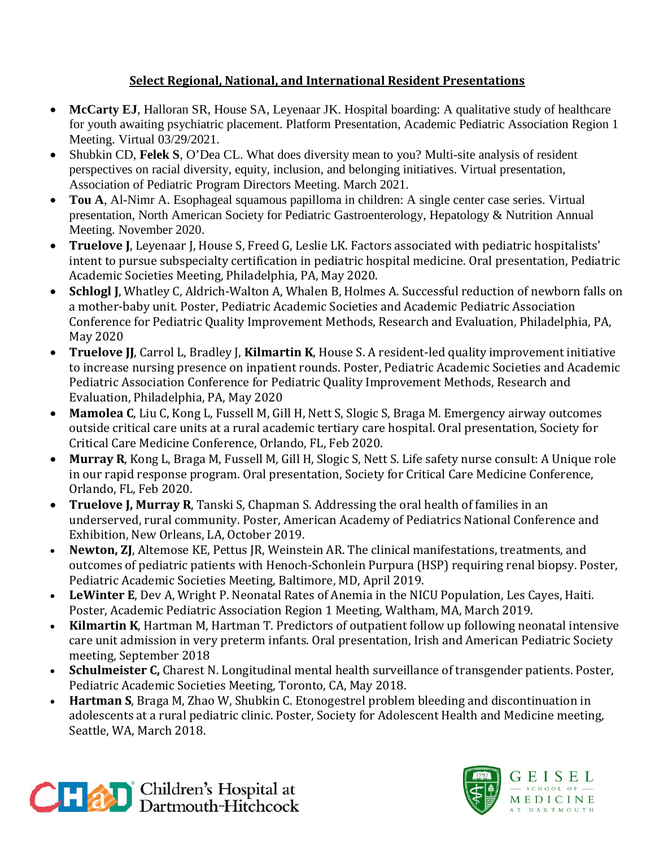#### **Select Regional, National, and International Resident Presentations**

- **McCarty EJ**, Halloran SR, House SA, Leyenaar JK. Hospital boarding: A qualitative study of healthcare for youth awaiting psychiatric placement. Platform Presentation, Academic Pediatric Association Region 1 Meeting. Virtual 03/29/2021.
- Shubkin CD, **Felek S**, O'Dea CL. What does diversity mean to you? Multi-site analysis of resident perspectives on racial diversity, equity, inclusion, and belonging initiatives. Virtual presentation, Association of Pediatric Program Directors Meeting. March 2021.
- **Tou A**, Al-Nimr A. Esophageal squamous papilloma in children: A single center case series. Virtual presentation, North American Society for Pediatric Gastroenterology, Hepatology & Nutrition Annual Meeting. November 2020.
- **Truelove J**, Leyenaar J, House S, Freed G, Leslie LK. Factors associated with pediatric hospitalists' intent to pursue subspecialty certification in pediatric hospital medicine. Oral presentation, Pediatric Academic Societies Meeting, Philadelphia, PA, May 2020.
- **Schlogl J**, Whatley C, Aldrich-Walton A, Whalen B, Holmes A. Successful reduction of newborn falls on a mother-baby unit. Poster, Pediatric Academic Societies and Academic Pediatric Association Conference for Pediatric Quality Improvement Methods, Research and Evaluation, Philadelphia, PA, May 2020
- **Truelove JJ**, Carrol L, Bradley J, **Kilmartin K**, House S. A resident-led quality improvement initiative to increase nursing presence on inpatient rounds. Poster, Pediatric Academic Societies and Academic Pediatric Association Conference for Pediatric Quality Improvement Methods, Research and Evaluation, Philadelphia, PA, May 2020
- **Mamolea C**, Liu C, Kong L, Fussell M, Gill H, Nett S, Slogic S, Braga M. Emergency airway outcomes outside critical care units at a rural academic tertiary care hospital. Oral presentation, Society for Critical Care Medicine Conference, Orlando, FL, Feb 2020.
- **Murray R**, Kong L, Braga M, Fussell M, Gill H, Slogic S, Nett S. Life safety nurse consult: A Unique role in our rapid response program. Oral presentation, Society for Critical Care Medicine Conference, Orlando, FL, Feb 2020.
- **Truelove J, Murray R**, Tanski S, Chapman S. Addressing the oral health of families in an underserved, rural community. Poster, American Academy of Pediatrics National Conference and Exhibition, New Orleans, LA, October 2019.
- **Newton, ZJ**, Altemose KE, Pettus JR, Weinstein AR. The clinical manifestations, treatments, and outcomes of pediatric patients with Henoch-Schonlein Purpura (HSP) requiring renal biopsy. Poster, Pediatric Academic Societies Meeting, Baltimore, MD, April 2019.
- **LeWinter E**, Dev A, Wright P. Neonatal Rates of Anemia in the NICU Population, Les Cayes, Haiti. Poster, Academic Pediatric Association Region 1 Meeting, Waltham, MA, March 2019.
- **Kilmartin K**, Hartman M, Hartman T. Predictors of outpatient follow up following neonatal intensive care unit admission in very preterm infants. Oral presentation, Irish and American Pediatric Society meeting, September 2018
- **Schulmeister C,** Charest N. Longitudinal mental health surveillance of transgender patients. Poster, Pediatric Academic Societies Meeting, Toronto, CA, May 2018.
- **Hartman S**, Braga M, Zhao W, Shubkin C. Etonogestrel problem bleeding and discontinuation in adolescents at a rural pediatric clinic. Poster, Society for Adolescent Health and Medicine meeting, Seattle, WA, March 2018.